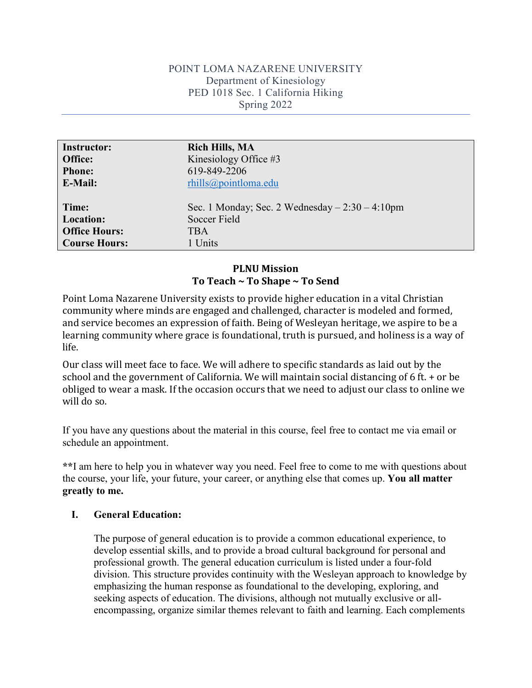#### POINT LOMA NAZARENE UNIVERSITY Department of Kinesiology PED 1018 Sec. 1 California Hiking Spring 2022

| <b>Instructor:</b>   | <b>Rich Hills, MA</b>                           |
|----------------------|-------------------------------------------------|
| Office:              | Kinesiology Office #3                           |
| <b>Phone:</b>        | 619-849-2206                                    |
| E-Mail:              | $r\text{hills@pointloma.edu}$                   |
|                      |                                                 |
| Time:                | Sec. 1 Monday; Sec. 2 Wednesday $-2:30-4:10$ pm |
| <b>Location:</b>     | Soccer Field                                    |
| <b>Office Hours:</b> | <b>TBA</b>                                      |
| <b>Course Hours:</b> | 1 Units                                         |

### **PLNU Mission To Teach ~ To Shape ~ To Send**

Point Loma Nazarene University exists to provide higher education in a vital Christian community where minds are engaged and challenged, character is modeled and formed, and service becomes an expression of faith. Being of Wesleyan heritage, we aspire to be a learning community where grace is foundational, truth is pursued, and holiness is a way of life.

Our class will meet face to face. We will adhere to specific standards as laid out by the school and the government of California. We will maintain social distancing of 6 ft. + or be obliged to wear a mask. If the occasion occurs that we need to adjust our class to online we will do so.

If you have any questions about the material in this course, feel free to contact me via email or schedule an appointment.

**\*\***I am here to help you in whatever way you need. Feel free to come to me with questions about the course, your life, your future, your career, or anything else that comes up. **You all matter greatly to me.**

#### **I. General Education:**

The purpose of general education is to provide a common educational experience, to develop essential skills, and to provide a broad cultural background for personal and professional growth. The general education curriculum is listed under a four-fold division. This structure provides continuity with the Wesleyan approach to knowledge by emphasizing the human response as foundational to the developing, exploring, and seeking aspects of education. The divisions, although not mutually exclusive or allencompassing, organize similar themes relevant to faith and learning. Each complements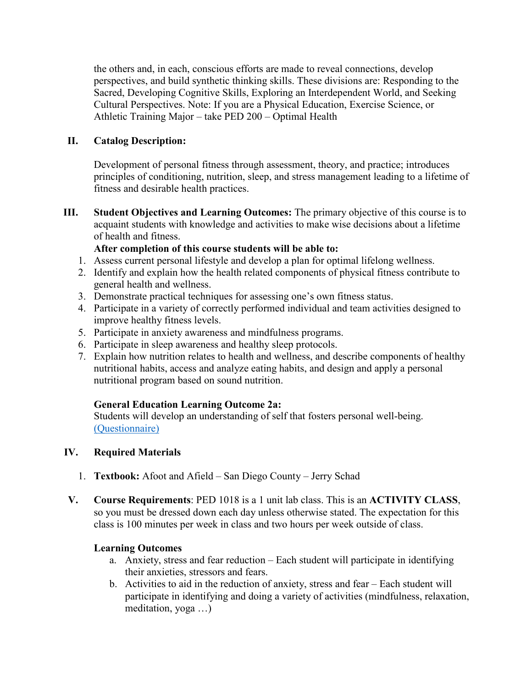the others and, in each, conscious efforts are made to reveal connections, develop perspectives, and build synthetic thinking skills. These divisions are: Responding to the Sacred, Developing Cognitive Skills, Exploring an Interdependent World, and Seeking Cultural Perspectives. Note: If you are a Physical Education, Exercise Science, or Athletic Training Major – take PED 200 – Optimal Health

### **II. Catalog Description:**

Development of personal fitness through assessment, theory, and practice; introduces principles of conditioning, nutrition, sleep, and stress management leading to a lifetime of fitness and desirable health practices.

**III. Student Objectives and Learning Outcomes:** The primary objective of this course is to acquaint students with knowledge and activities to make wise decisions about a lifetime of health and fitness.

## **After completion of this course students will be able to:**

- 1. Assess current personal lifestyle and develop a plan for optimal lifelong wellness.
- 2. Identify and explain how the health related components of physical fitness contribute to general health and wellness.
- 3. Demonstrate practical techniques for assessing one's own fitness status.
- 4. Participate in a variety of correctly performed individual and team activities designed to improve healthy fitness levels.
- 5. Participate in anxiety awareness and mindfulness programs.
- 6. Participate in sleep awareness and healthy sleep protocols.
- 7. Explain how nutrition relates to health and wellness, and describe components of healthy nutritional habits, access and analyze eating habits, and design and apply a personal nutritional program based on sound nutrition.

# **General Education Learning Outcome 2a:**

Students will develop an understanding of self that fosters personal well-being. [\(Questionnaire\)](https://goo.gl/forms/Wm3vuhIFKUrJzTPr1)

### **IV. Required Materials**

- 1. **Textbook:** Afoot and Afield San Diego County Jerry Schad
- **V. Course Requirements**: PED 1018 is a 1 unit lab class. This is an **ACTIVITY CLASS**, so you must be dressed down each day unless otherwise stated. The expectation for this class is 100 minutes per week in class and two hours per week outside of class.

### **Learning Outcomes**

- a. Anxiety, stress and fear reduction Each student will participate in identifying their anxieties, stressors and fears.
- b. Activities to aid in the reduction of anxiety, stress and fear Each student will participate in identifying and doing a variety of activities (mindfulness, relaxation, meditation, yoga …)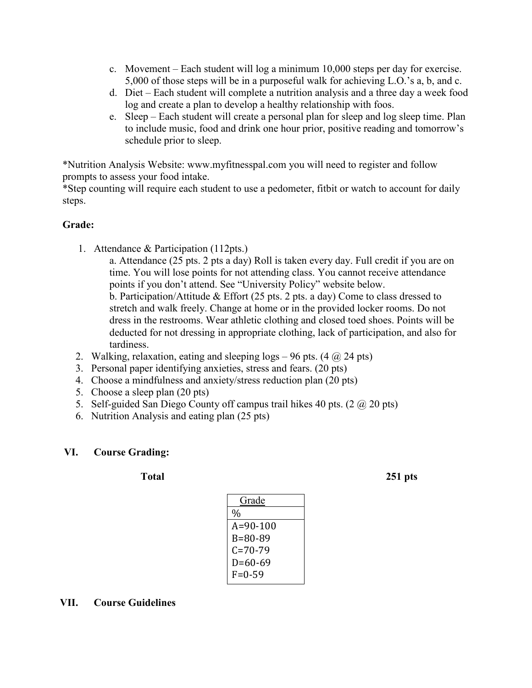- c. Movement Each student will log a minimum 10,000 steps per day for exercise. 5,000 of those steps will be in a purposeful walk for achieving L.O.'s a, b, and c.
- d. Diet Each student will complete a nutrition analysis and a three day a week food log and create a plan to develop a healthy relationship with foos.
- e. Sleep Each student will create a personal plan for sleep and log sleep time. Plan to include music, food and drink one hour prior, positive reading and tomorrow's schedule prior to sleep.

\*Nutrition Analysis Website: www.myfitnesspal.com you will need to register and follow prompts to assess your food intake.

\*Step counting will require each student to use a pedometer, fitbit or watch to account for daily steps.

### **Grade:**

1. Attendance & Participation (112pts.)

a. Attendance (25 pts. 2 pts a day) Roll is taken every day. Full credit if you are on time. You will lose points for not attending class. You cannot receive attendance points if you don't attend. See "University Policy" website below. b. Participation/Attitude & Effort (25 pts. 2 pts. a day) Come to class dressed to stretch and walk freely. Change at home or in the provided locker rooms. Do not dress in the restrooms. Wear athletic clothing and closed toed shoes. Points will be deducted for not dressing in appropriate clothing, lack of participation, and also for tardiness.

- 2. Walking, relaxation, eating and sleeping logs  $-96$  pts. (4  $\omega$  24 pts)
- 3. Personal paper identifying anxieties, stress and fears. (20 pts)
- 4. Choose a mindfulness and anxiety/stress reduction plan (20 pts)
- 5. Choose a sleep plan (20 pts)
- 5. Self-guided San Diego County off campus trail hikes 40 pts.  $(2 \text{ (}a) 20 \text{ pts})$
- 6. Nutrition Analysis and eating plan (25 pts)

### **VI. Course Grading:**

**Total 251 pts**

| Grade          |
|----------------|
| %              |
| $A = 90 - 100$ |
| $B = 80 - 89$  |
| C=70-79        |
| $D=60-69$      |
| $F = 0.59$     |
|                |

### **VII. Course Guidelines**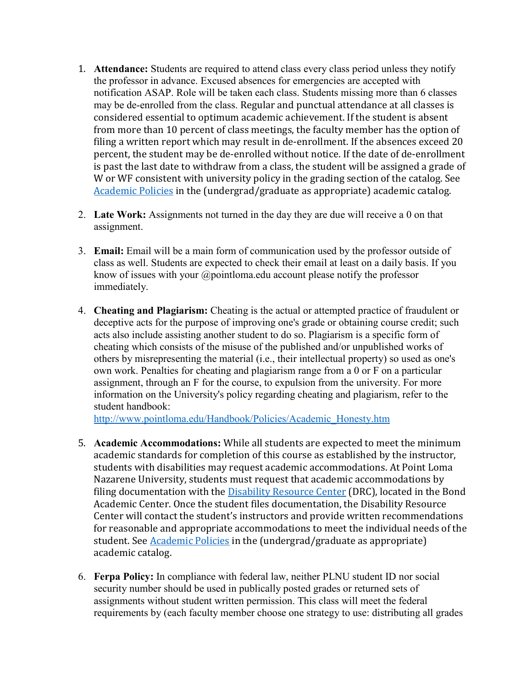- 1. **Attendance:** Students are required to attend class every class period unless they notify the professor in advance. Excused absences for emergencies are accepted with notification ASAP. Role will be taken each class. Students missing more than 6 classes may be de-enrolled from the class. Regular and punctual attendance at all classes is considered essential to optimum academic achievement. If the student is absent from more than 10 percent of class meetings, the faculty member has the option of filing a written report which may result in de-enrollment. If the absences exceed 20 percent, the student may be de-enrolled without notice. If the date of de-enrollment is past the last date to withdraw from a class, the student will be assigned a grade of W or WF consistent with university policy in the grading section of the catalog. See [Academic Policies](http://www.pointloma.edu/experience/academics/catalogs/undergraduate-catalog/point-loma-education/academic-policies) in the (undergrad/graduate as appropriate) academic catalog.
- 2. **Late Work:** Assignments not turned in the day they are due will receive a 0 on that assignment.
- 3. **Email:** Email will be a main form of communication used by the professor outside of class as well. Students are expected to check their email at least on a daily basis. If you know of issues with your @pointloma.edu account please notify the professor immediately.
- 4. **Cheating and Plagiarism:** Cheating is the actual or attempted practice of fraudulent or deceptive acts for the purpose of improving one's grade or obtaining course credit; such acts also include assisting another student to do so. Plagiarism is a specific form of cheating which consists of the misuse of the published and/or unpublished works of others by misrepresenting the material (i.e., their intellectual property) so used as one's own work. Penalties for cheating and plagiarism range from a 0 or F on a particular assignment, through an F for the course, to expulsion from the university. For more information on the University's policy regarding cheating and plagiarism, refer to the student handbook:

[http://www.pointloma.edu/Handbook/Policies/Academic\\_Honesty.htm](http://www.pointloma.edu/Handbook/Policies/Academic_Honesty.htm)

- 5. **Academic Accommodations:** While all students are expected to meet the minimum academic standards for completion of this course as established by the instructor, students with disabilities may request academic accommodations. At Point Loma Nazarene University, students must request that academic accommodations by filing documentation with the **Disability Resource Center** (DRC), located in the Bond Academic Center. Once the student files documentation, the Disability Resource Center will contact the student's instructors and provide written recommendations for reasonable and appropriate accommodations to meet the individual needs of the student. Se[e Academic Policies](http://www.pointloma.edu/experience/academics/catalogs/undergraduate-catalog/point-loma-education/academic-policies) in the (undergrad/graduate as appropriate) academic catalog.
- 6. **Ferpa Policy:** In compliance with federal law, neither PLNU student ID nor social security number should be used in publically posted grades or returned sets of assignments without student written permission. This class will meet the federal requirements by (each faculty member choose one strategy to use: distributing all grades